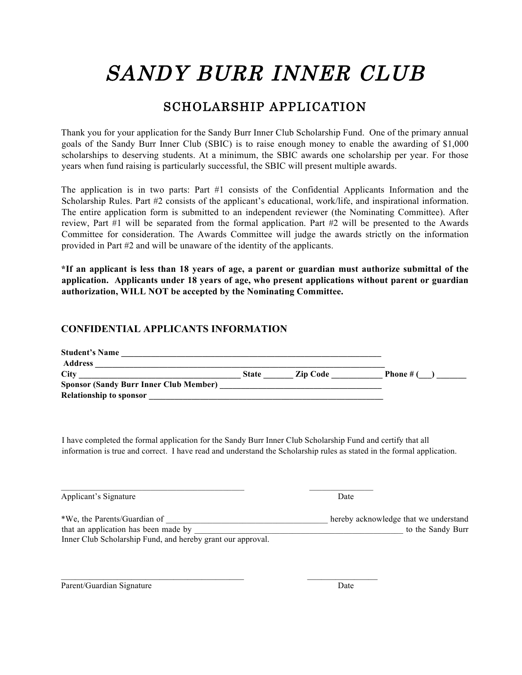# SANDY BURR INNER CLUB

### SCHOLARSHIP APPLICATION

Thank you for your application for the Sandy Burr Inner Club Scholarship Fund. One of the primary annual goals of the Sandy Burr Inner Club (SBIC) is to raise enough money to enable the awarding of \$1,000 scholarships to deserving students. At a minimum, the SBIC awards one scholarship per year. For those years when fund raising is particularly successful, the SBIC will present multiple awards.

The application is in two parts: Part #1 consists of the Confidential Applicants Information and the Scholarship Rules. Part #2 consists of the applicant's educational, work/life, and inspirational information. The entire application form is submitted to an independent reviewer (the Nominating Committee). After review, Part #1 will be separated from the formal application. Part #2 will be presented to the Awards Committee for consideration. The Awards Committee will judge the awards strictly on the information provided in Part #2 and will be unaware of the identity of the applicants.

**\*If an applicant is less than 18 years of age, a parent or guardian must authorize submittal of the application. Applicants under 18 years of age, who present applications without parent or guardian authorization, WILL NOT be accepted by the Nominating Committee.**

#### **CONFIDENTIAL APPLICANTS INFORMATION**

| <b>Student's Name</b>                         |              |                 |           |
|-----------------------------------------------|--------------|-----------------|-----------|
| <b>Address</b>                                |              |                 |           |
| <b>City</b>                                   | <b>State</b> | <b>Zip Code</b> | Phone # ( |
| <b>Sponsor (Sandy Burr Inner Club Member)</b> |              |                 |           |
| <b>Relationship to sponsor</b>                |              |                 |           |

I have completed the formal application for the Sandy Burr Inner Club Scholarship Fund and certify that all information is true and correct. I have read and understand the Scholarship rules as stated in the formal application.

Applicant's Signature Date

| *We, the Parents/Guardian of                                | hereby acknowledge that we understand |
|-------------------------------------------------------------|---------------------------------------|
| that an application has been made by                        | to the Sandy Burr                     |
| Inner Club Scholarship Fund, and hereby grant our approval. |                                       |

 $\mathcal{L}_\text{max} = \mathcal{L}_\text{max} = \mathcal{L}_\text{max} = \mathcal{L}_\text{max} = \mathcal{L}_\text{max} = \mathcal{L}_\text{max} = \mathcal{L}_\text{max} = \mathcal{L}_\text{max} = \mathcal{L}_\text{max} = \mathcal{L}_\text{max} = \mathcal{L}_\text{max} = \mathcal{L}_\text{max} = \mathcal{L}_\text{max} = \mathcal{L}_\text{max} = \mathcal{L}_\text{max} = \mathcal{L}_\text{max} = \mathcal{L}_\text{max} = \mathcal{L}_\text{max} = \mathcal{$ 

Parent/Guardian Signature Date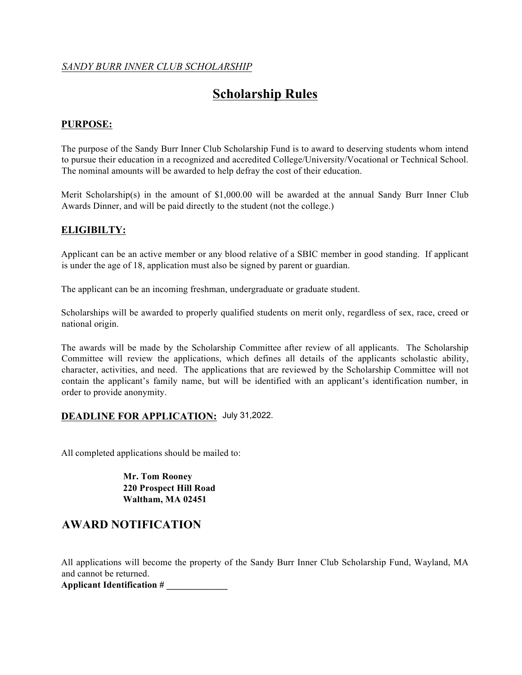#### *SANDY BURR INNER CLUB SCHOLARSHIP*

## **Scholarship Rules**

#### **PURPOSE:**

The purpose of the Sandy Burr Inner Club Scholarship Fund is to award to deserving students whom intend to pursue their education in a recognized and accredited College/University/Vocational or Technical School. The nominal amounts will be awarded to help defray the cost of their education.

Merit Scholarship(s) in the amount of \$1,000.00 will be awarded at the annual Sandy Burr Inner Club Awards Dinner, and will be paid directly to the student (not the college.)

#### **ELIGIBILTY:**

Applicant can be an active member or any blood relative of a SBIC member in good standing. If applicant is under the age of 18, application must also be signed by parent or guardian.

The applicant can be an incoming freshman, undergraduate or graduate student.

Scholarships will be awarded to properly qualified students on merit only, regardless of sex, race, creed or national origin.

The awards will be made by the Scholarship Committee after review of all applicants. The Scholarship Committee will review the applications, which defines all details of the applicants scholastic ability, character, activities, and need. The applications that are reviewed by the Scholarship Committee will not contain the applicant's family name, but will be identified with an applicant's identification number, in order to provide anonymity.

#### **DEADLINE FOR APPLICATION:** July 31,2022.

All completed applications should be mailed to:

**Mr. Tom Rooney 220 Prospect Hill Road Waltham, MA 02451** 

#### **AWARD NOTIFICATION**

All applications will become the property of the Sandy Burr Inner Club Scholarship Fund, Wayland, MA and cannot be returned.

**Applicant Identification # \_\_\_\_\_\_\_\_\_\_\_\_\_**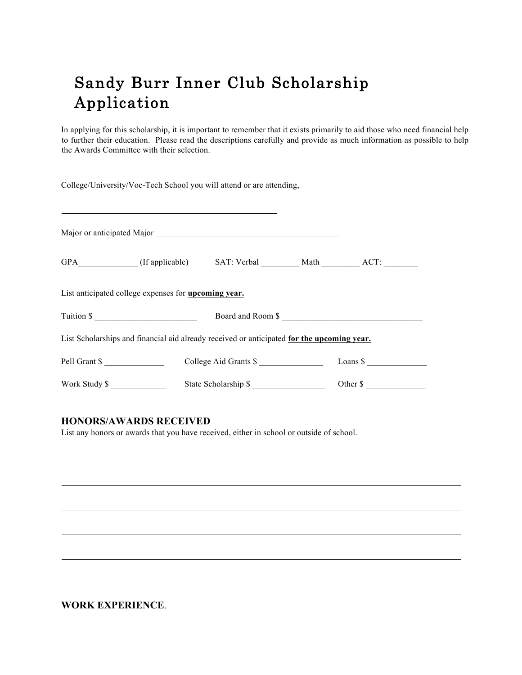# Sandy Burr Inner Club Scholarship Application

In applying for this scholarship, it is important to remember that it exists primarily to aid those who need financial help to further their education. Please read the descriptions carefully and provide as much information as possible to help the Awards Committee with their selection.

College/University/Voc-Tech School you will attend or are attending,

| Major or anticipated Major<br>Major 2014                                                                                                                                                                                                                                                                              |  |                       |  |                     |  |  |
|-----------------------------------------------------------------------------------------------------------------------------------------------------------------------------------------------------------------------------------------------------------------------------------------------------------------------|--|-----------------------|--|---------------------|--|--|
| GPA (If applicable) SAT: Verbal Math ACT:                                                                                                                                                                                                                                                                             |  |                       |  |                     |  |  |
| List anticipated college expenses for upcoming year.                                                                                                                                                                                                                                                                  |  |                       |  |                     |  |  |
| Tuition $\frac{1}{2}$ $\frac{1}{2}$ $\frac{1}{2}$ $\frac{1}{2}$ $\frac{1}{2}$ $\frac{1}{2}$ $\frac{1}{2}$ $\frac{1}{2}$ $\frac{1}{2}$ $\frac{1}{2}$ $\frac{1}{2}$ $\frac{1}{2}$ $\frac{1}{2}$ $\frac{1}{2}$ $\frac{1}{2}$ $\frac{1}{2}$ $\frac{1}{2}$ $\frac{1}{2}$ $\frac{1}{2}$ $\frac{1}{2}$ $\frac{1}{2}$ $\frac$ |  |                       |  | Board and Room \$   |  |  |
| List Scholarships and financial aid already received or anticipated for the upcoming year.                                                                                                                                                                                                                            |  |                       |  |                     |  |  |
| Pell Grant \$                                                                                                                                                                                                                                                                                                         |  | College Aid Grants \$ |  | Loans $\frac{1}{2}$ |  |  |
| Work Study \$                                                                                                                                                                                                                                                                                                         |  | State Scholarship \$  |  | Other \$            |  |  |

#### **HONORS/AWARDS RECEIVED**

List any honors or awards that you have received, either in school or outside of school.

**WORK EXPERIENCE**.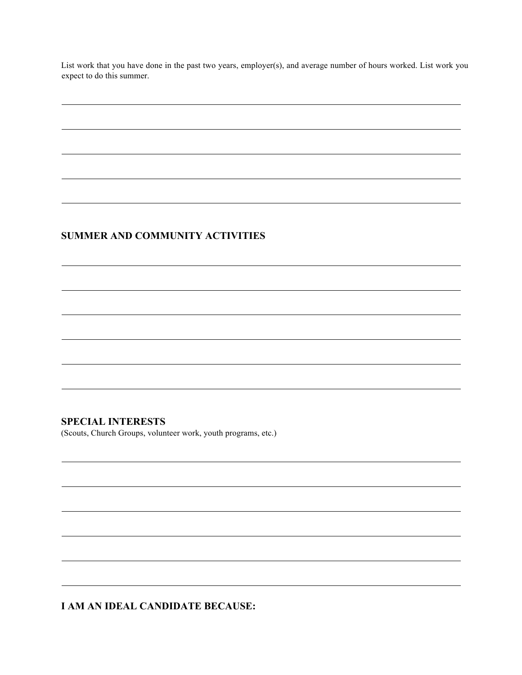List work that you have done in the past two years, employer(s), and average number of hours worked. List work you expect to do this summer.

#### **SUMMER AND COMMUNITY ACTIVITIES**

#### **SPECIAL INTERESTS**

(Scouts, Church Groups, volunteer work, youth programs, etc.)

**I AM AN IDEAL CANDIDATE BECAUSE:**